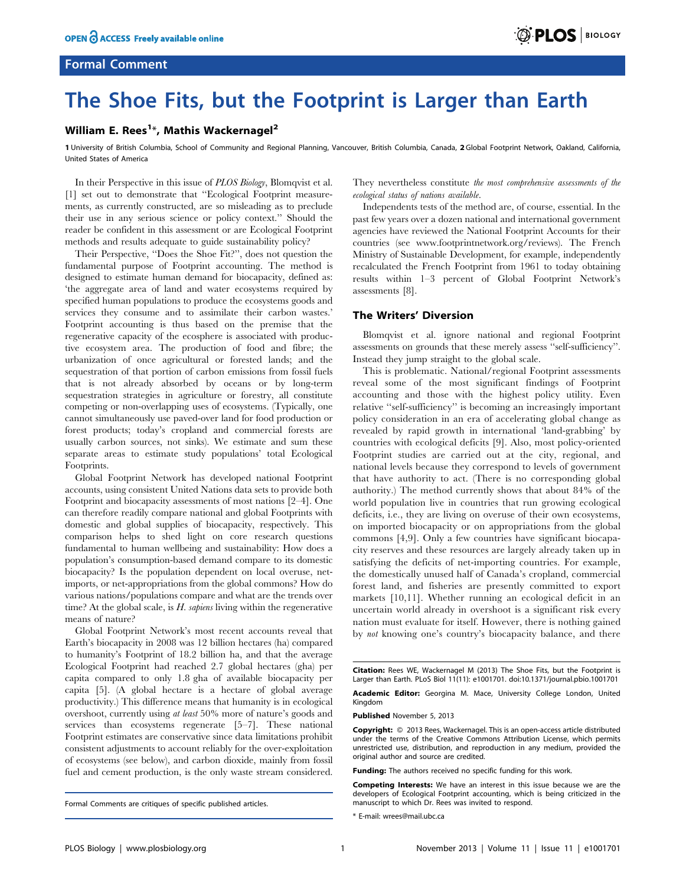# Formal Comment

# The Shoe Fits, but the Footprint is Larger than Earth

## William E. Rees<sup>1</sup>\*, Mathis Wackernagel<sup>2</sup>

1 University of British Columbia, School of Community and Regional Planning, Vancouver, British Columbia, Canada, 2 Global Footprint Network, Oakland, California, United States of America

In their Perspective in this issue of PLOS Biology, Blomqvist et al. [1] set out to demonstrate that ''Ecological Footprint measurements, as currently constructed, are so misleading as to preclude their use in any serious science or policy context.'' Should the reader be confident in this assessment or are Ecological Footprint methods and results adequate to guide sustainability policy?

Their Perspective, ''Does the Shoe Fit?'', does not question the fundamental purpose of Footprint accounting. The method is designed to estimate human demand for biocapacity, defined as: 'the aggregate area of land and water ecosystems required by specified human populations to produce the ecosystems goods and services they consume and to assimilate their carbon wastes.' Footprint accounting is thus based on the premise that the regenerative capacity of the ecosphere is associated with productive ecosystem area. The production of food and fibre; the urbanization of once agricultural or forested lands; and the sequestration of that portion of carbon emissions from fossil fuels that is not already absorbed by oceans or by long-term sequestration strategies in agriculture or forestry, all constitute competing or non-overlapping uses of ecosystems. (Typically, one cannot simultaneously use paved-over land for food production or forest products; today's cropland and commercial forests are usually carbon sources, not sinks). We estimate and sum these separate areas to estimate study populations' total Ecological Footprints.

Global Footprint Network has developed national Footprint accounts, using consistent United Nations data sets to provide both Footprint and biocapacity assessments of most nations [2–4]. One can therefore readily compare national and global Footprints with domestic and global supplies of biocapacity, respectively. This comparison helps to shed light on core research questions fundamental to human wellbeing and sustainability: How does a population's consumption-based demand compare to its domestic biocapacity? Is the population dependent on local overuse, netimports, or net-appropriations from the global commons? How do various nations/populations compare and what are the trends over time? At the global scale, is  $H$ . *sapiens* living within the regenerative means of nature?

Global Footprint Network's most recent accounts reveal that Earth's biocapacity in 2008 was 12 billion hectares (ha) compared to humanity's Footprint of 18.2 billion ha, and that the average Ecological Footprint had reached 2.7 global hectares (gha) per capita compared to only 1.8 gha of available biocapacity per capita [5]. (A global hectare is a hectare of global average productivity.) This difference means that humanity is in ecological overshoot, currently using at least 50% more of nature's goods and services than ecosystems regenerate [5–7]. These national Footprint estimates are conservative since data limitations prohibit consistent adjustments to account reliably for the over-exploitation of ecosystems (see below), and carbon dioxide, mainly from fossil fuel and cement production, is the only waste stream considered. They nevertheless constitute the most comprehensive assessments of the ecological status of nations available.

Independents tests of the method are, of course, essential. In the past few years over a dozen national and international government agencies have reviewed the National Footprint Accounts for their countries (see www.footprintnetwork.org/reviews). The French Ministry of Sustainable Development, for example, independently recalculated the French Footprint from 1961 to today obtaining results within 1–3 percent of Global Footprint Network's assessments [8].

### The Writers' Diversion

Blomqvist et al. ignore national and regional Footprint assessments on grounds that these merely assess ''self-sufficiency''. Instead they jump straight to the global scale.

This is problematic. National/regional Footprint assessments reveal some of the most significant findings of Footprint accounting and those with the highest policy utility. Even relative ''self-sufficiency'' is becoming an increasingly important policy consideration in an era of accelerating global change as revealed by rapid growth in international 'land-grabbing' by countries with ecological deficits [9]. Also, most policy-oriented Footprint studies are carried out at the city, regional, and national levels because they correspond to levels of government that have authority to act. (There is no corresponding global authority.) The method currently shows that about 84% of the world population live in countries that run growing ecological deficits, i.e., they are living on overuse of their own ecosystems, on imported biocapacity or on appropriations from the global commons [4,9]. Only a few countries have significant biocapacity reserves and these resources are largely already taken up in satisfying the deficits of net-importing countries. For example, the domestically unused half of Canada's cropland, commercial forest land, and fisheries are presently committed to export markets [10,11]. Whether running an ecological deficit in an uncertain world already in overshoot is a significant risk every nation must evaluate for itself. However, there is nothing gained by not knowing one's country's biocapacity balance, and there

Academic Editor: Georgina M. Mace, University College London, United Kingdom

Published November 5, 2013

Copyright: © 2013 Rees, Wackernagel. This is an open-access article distributed under the terms of the Creative Commons Attribution License, which permits unrestricted use, distribution, and reproduction in any medium, provided the original author and source are credited.

Funding: The authors received no specific funding for this work.

Competing Interests: We have an interest in this issue because we are the developers of Ecological Footprint accounting, which is being criticized in the manuscript to which Dr. Rees was invited to respond.

\* E-mail: wrees@mail.ubc.ca

Formal Comments are critiques of specific published articles.

Citation: Rees WE, Wackernagel M (2013) The Shoe Fits, but the Footprint is Larger than Earth. PLoS Biol 11(11): e1001701. doi:10.1371/journal.pbio.1001701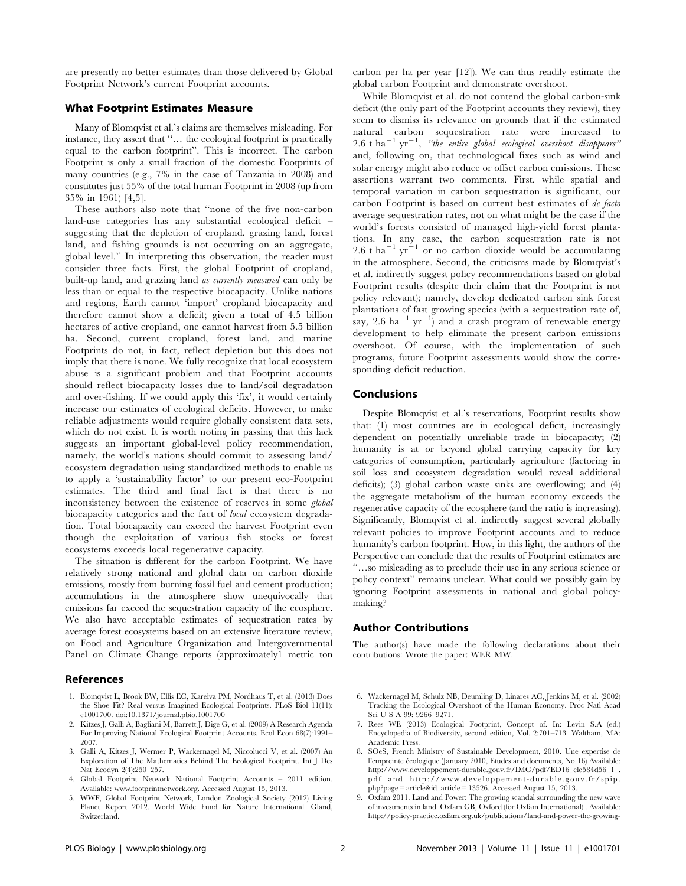are presently no better estimates than those delivered by Global Footprint Network's current Footprint accounts.

### What Footprint Estimates Measure

Many of Blomqvist et al.'s claims are themselves misleading. For instance, they assert that ''… the ecological footprint is practically equal to the carbon footprint''. This is incorrect. The carbon Footprint is only a small fraction of the domestic Footprints of many countries (e.g., 7% in the case of Tanzania in 2008) and constitutes just 55% of the total human Footprint in 2008 (up from 35% in 1961) [4,5].

These authors also note that ''none of the five non-carbon land-use categories has any substantial ecological deficit – suggesting that the depletion of cropland, grazing land, forest land, and fishing grounds is not occurring on an aggregate, global level.'' In interpreting this observation, the reader must consider three facts. First, the global Footprint of cropland, built-up land, and grazing land as currently measured can only be less than or equal to the respective biocapacity. Unlike nations and regions, Earth cannot 'import' cropland biocapacity and therefore cannot show a deficit; given a total of 4.5 billion hectares of active cropland, one cannot harvest from 5.5 billion ha. Second, current cropland, forest land, and marine Footprints do not, in fact, reflect depletion but this does not imply that there is none. We fully recognize that local ecosystem abuse is a significant problem and that Footprint accounts should reflect biocapacity losses due to land/soil degradation and over-fishing. If we could apply this 'fix', it would certainly increase our estimates of ecological deficits. However, to make reliable adjustments would require globally consistent data sets, which do not exist. It is worth noting in passing that this lack suggests an important global-level policy recommendation, namely, the world's nations should commit to assessing land/ ecosystem degradation using standardized methods to enable us to apply a 'sustainability factor' to our present eco-Footprint estimates. The third and final fact is that there is no inconsistency between the existence of reserves in some global biocapacity categories and the fact of local ecosystem degradation. Total biocapacity can exceed the harvest Footprint even though the exploitation of various fish stocks or forest ecosystems exceeds local regenerative capacity.

The situation is different for the carbon Footprint. We have relatively strong national and global data on carbon dioxide emissions, mostly from burning fossil fuel and cement production; accumulations in the atmosphere show unequivocally that emissions far exceed the sequestration capacity of the ecosphere. We also have acceptable estimates of sequestration rates by average forest ecosystems based on an extensive literature review, on Food and Agriculture Organization and Intergovernmental Panel on Climate Change reports (approximately1 metric ton

## References

- 1. Blomqvist L, Brook BW, Ellis EC, Kareiva PM, Nordhaus T, et al. (2013) Does the Shoe Fit? Real versus Imagined Ecological Footprints. PLoS Biol 11(11): e1001700. doi:10.1371/journal.pbio.1001700
- 2. Kitzes J, Galli A, Bagliani M, Barrett J, Dige G, et al. (2009) A Research Agenda For Improving National Ecological Footprint Accounts. Ecol Econ 68(7):1991– 2007.
- 3. Galli A, Kitzes J, Wermer P, Wackernagel M, Niccolucci V, et al. (2007) An Exploration of The Mathematics Behind The Ecological Footprint. Int J Des Nat Ecodyn 2(4):250–257.
- 4. Global Footprint Network National Footprint Accounts 2011 edition. Available: www.footprintnetwork.org. Accessed August 15, 2013.
- 5. WWF, Global Footprint Network, London Zoological Society (2012) Living Planet Report 2012. World Wide Fund for Nature International. Gland, Switzerland.

carbon per ha per year [12]). We can thus readily estimate the global carbon Footprint and demonstrate overshoot.

While Blomqvist et al. do not contend the global carbon-sink deficit (the only part of the Footprint accounts they review), they seem to dismiss its relevance on grounds that if the estimated natural carbon sequestration rate were increased to 2.6 t ha<sup> $-1$ </sup> yr<sup> $-1$ </sup>, "the entire global ecological overshoot disappears" and, following on, that technological fixes such as wind and solar energy might also reduce or offset carbon emissions. These assertions warrant two comments. First, while spatial and temporal variation in carbon sequestration is significant, our carbon Footprint is based on current best estimates of de facto average sequestration rates, not on what might be the case if the world's forests consisted of managed high-yield forest plantations. In any case, the carbon sequestration rate is not 2.6 t ha<sup> $-1$ </sup> yr<sup> $-1$ </sup> or no carbon dioxide would be accumulating in the atmosphere. Second, the criticisms made by Blomqvist's et al. indirectly suggest policy recommendations based on global Footprint results (despite their claim that the Footprint is not policy relevant); namely, develop dedicated carbon sink forest plantations of fast growing species (with a sequestration rate of, say, 2.6 ha<sup>-1</sup> yr<sup>-1</sup>) and a crash program of renewable energy development to help eliminate the present carbon emissions overshoot. Of course, with the implementation of such programs, future Footprint assessments would show the corresponding deficit reduction.

#### Conclusions

Despite Blomqvist et al.'s reservations, Footprint results show that: (1) most countries are in ecological deficit, increasingly dependent on potentially unreliable trade in biocapacity; (2) humanity is at or beyond global carrying capacity for key categories of consumption, particularly agriculture (factoring in soil loss and ecosystem degradation would reveal additional deficits); (3) global carbon waste sinks are overflowing; and (4) the aggregate metabolism of the human economy exceeds the regenerative capacity of the ecosphere (and the ratio is increasing). Significantly, Blomqvist et al. indirectly suggest several globally relevant policies to improve Footprint accounts and to reduce humanity's carbon footprint. How, in this light, the authors of the Perspective can conclude that the results of Footprint estimates are ''…so misleading as to preclude their use in any serious science or policy context'' remains unclear. What could we possibly gain by ignoring Footprint assessments in national and global policymaking?

#### Author Contributions

The author(s) have made the following declarations about their contributions: Wrote the paper: WER MW.

- 6. Wackernagel M, Schulz NB, Deumling D, Linares AC, Jenkins M, et al. (2002) Tracking the Ecological Overshoot of the Human Economy. Proc Natl Acad Sci U S A 99: 9266–9271.
- 7. Rees WE (2013) Ecological Footprint, Concept of. In: Levin S.A (ed.) Encyclopedia of Biodiversity, second edition, Vol. 2:701–713. Waltham, MA: Academic Press.
- 8. SOeS, French Ministry of Sustainable Development, 2010. Une expertise de l'empreinte écologique.(January 2010, Etudes and documents, No 16) Available: http://www.developpement-durable.gouv.fr/IMG/pdf/ED16\_cle584d56\_1\_. pdf and http://www.developpement-durable.gouv.fr/spip. php?page = article&id\_article = 13526. Accessed August 15, 2013.
- 9. Oxfam 2011. Land and Power: The growing scandal surrounding the new wave of investments in land. Oxfam GB, Oxford (for Oxfam International).. Available: http://policy-practice.oxfam.org.uk/publications/land-and-power-the-growing-